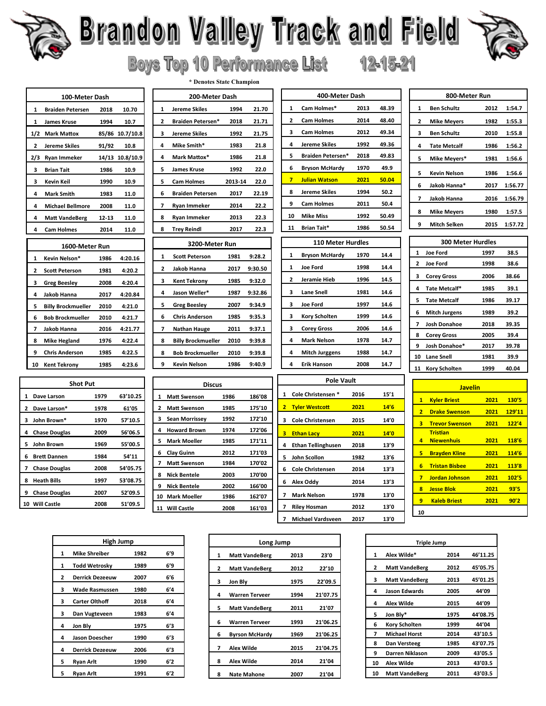

### **Serandon Valley Track and Field Scrand Brand Boys Top 10 Performance List** 12-15-21

 $\mathbf{1}$ 

 $\overline{\phantom{a}}$ 

 $\mathbf{3}$ 

 $\overline{ }$ 

4  $\mathbf{A}$ 

 $\mathbf{1}$ 

**Joe Ford** 

Jeramie Hieb

**Lane Snell** 

**Kory Scholten** 

**Corey Gross** 

**Mark Nelson** 

**Mitch Jurggens** 

4 Erik Hanson

Cole Christensen<sup>\*</sup>

**Tyler Westcott** 

3 Cole Christensen

4 Ethan Tellinghusen

**Ethan Lacy** 

5 John Scollon

6 Alex Oddy

7 Mark Nelson

7 Riley Hosman

7 Michael Vardsveen

6 Cole Christensen

**Joe Ford** 



| 100-Meter Dash |                           |           |                 |
|----------------|---------------------------|-----------|-----------------|
| 1              | <b>Braiden Petersen</b>   | 2018      | 10.70           |
| 1              | <b>James Kruse</b>        | 1994      | 10.7            |
|                | 1/2 Mark Mattox           |           | 85/86 10.7/10.8 |
| $\mathbf{z}$   | <b>Jereme Skiles</b>      | 91/92     | 10.8            |
|                | 2/3 Ryan Immeker          |           | 14/13 10.8/10.9 |
| 3              | <b>Brian Tait</b>         | 1986      | 10.9            |
| 3              | Kevin Keil                | 1990      | 10.9            |
| 4              | <b>Mark Smith</b>         | 1983      | 11.0            |
| 4              | <b>Michael Bellmore</b>   | 2008      | 11.0            |
| 4              | <b>Matt VandeBerg</b>     | $12 - 13$ | 11.0            |
| 4              | <b>Cam Holmes</b>         | 2014      | 11.0            |
|                | 1600-Meter Run            |           |                 |
| 1              | Kevin Nelson*             | 1986      | 4:20.16         |
| 2              | <b>Scott Peterson</b>     | 1981      | 4:20.2          |
| 3              | <b>Greg Beesley</b>       | 2008      | 4:20.4          |
| 4              | <b>Jakob Hanna</b>        | 2017      | 4:20.84         |
| 5              | <b>Billy Brockmueller</b> | 2010      | 4:21.0          |
| 6              | <b>Bob Brockmueller</b>   | 2010      | 4:21.7          |
| 7              | Jakob Hanna               | 2016      | 4:21.77         |
| 8              | <b>Mike Hegland</b>       | 1976      | 4:22.4          |
| 9              | <b>Chris Anderson</b>     | 1985      | 4:22.5          |
| 10             | <b>Kent Tekrony</b>       | 1985      | 4:23.6          |

| 200-Meter Dash |                           |         |         |  |
|----------------|---------------------------|---------|---------|--|
| 1              | Jereme Skiles             | 1994    | 21.70   |  |
| $\overline{2}$ | <b>Braiden Petersen*</b>  | 2018    | 21.71   |  |
| 3              | Jereme Skiles             | 1992    | 21.75   |  |
| 4              | Mike Smith*               | 1983    | 21.8    |  |
| 4              | Mark Mattox*              | 1986    | 21.8    |  |
| 5              | James Kruse               | 1992    | 22.0    |  |
| 5              | <b>Cam Holmes</b>         | 2013-14 | 22.0    |  |
| 6              | <b>Braiden Petersen</b>   | 2017    | 22.19   |  |
| 7              | Ryan Immeker              | 2014    | 22.2    |  |
| 8              | Ryan Immeker              | 2013    | 22.3    |  |
| 8              | <b>Trey Reindl</b>        | 2017    | 22.3    |  |
| 3200-Meter Run |                           |         |         |  |
|                |                           |         |         |  |
| 1              | <b>Scott Peterson</b>     | 1981    | 9:28.2  |  |
| 2              | Jakob Hanna               | 2017    | 9:30.50 |  |
| 3              | <b>Kent Tekrony</b>       | 1985    | 9:32.0  |  |
| 4              | Jason Weller*             | 1987    | 9:32.86 |  |
| 5              | <b>Greg Beesley</b>       | 2007    | 9:34.9  |  |
| 6              | <b>Chris Anderson</b>     | 1985    | 9:35.3  |  |
| 7              | Nathan Hauge              | 2011    | 9:37.1  |  |
| 8              | <b>Billy Brockmueller</b> | 2010    | 9:39.8  |  |
| 8              | <b>Bob Brockmueller</b>   | 2010    | 9:39.8  |  |

\* Denotes State Champion

|    |                       |      | -----  |
|----|-----------------------|------|--------|
|    |                       |      |        |
|    | <b>Discus</b>         |      |        |
| 1  | <b>Matt Swenson</b>   | 1986 | 186'08 |
| 2  | <b>Matt Swenson</b>   | 1985 | 175'10 |
| з  | <b>Sean Morrissey</b> | 1992 | 172'10 |
| 4  | <b>Howard Brown</b>   | 1974 | 172'06 |
| 5  | <b>Mark Moeller</b>   | 1985 | 171'11 |
| 6  | Clay Guinn            | 2012 | 171'03 |
| 7  | <b>Matt Swenson</b>   | 1984 | 170'02 |
| 8  | <b>Nick Bentele</b>   | 2003 | 170'00 |
| 9  | <b>Nick Bentele</b>   | 2002 | 166'00 |
| 10 | <b>Mark Moeller</b>   | 1986 | 162'07 |
|    | 11 Will Castle        | 2008 | 161'03 |
|    |                       |      |        |

| 400-Meter Dash |                          |      |       |
|----------------|--------------------------|------|-------|
| 1              | Cam Holmes*              | 2013 | 48.39 |
| 2              | <b>Cam Holmes</b>        | 2014 | 48.40 |
| з              | <b>Cam Holmes</b>        | 2012 | 49.34 |
| 4              | Jereme Skiles            | 1992 | 49.36 |
| 5              | <b>Braiden Petersen*</b> | 2018 | 49.83 |
| 6              | <b>Bryson McHardy</b>    | 1970 | 49.9  |
| 7              | <b>Julian Watson</b>     | 2021 | 50.04 |
| 8              | Jereme Skiles            | 1994 | 50.2  |
| 9              | <b>Cam Holmes</b>        | 2011 | 50.4  |
| 10             | <b>Mike Miss</b>         | 1992 | 50.49 |
| 11             | Brian Tait*              | 1986 | 50.54 |
|                | <b>110 Meter Hurdles</b> |      |       |
|                |                          |      |       |
| 1              | Bryson McHardy           | 1970 | 14.4  |

1998

1996

1981

1997

1999

2006

1978

1988

2008

2016

2021

2015

2021

2018

1982

2014

2014

1978

2012

2017

**Pole Vault** 

14.4

14.5

14.6

14.6

14.6

14.6

14.7

14.7

 $14.7$ 

 $15'1$ 

 $14'6$ 

 $14^\prime 0$  $14'0$ 

13'9

 $13'6$  $13'3$ 

 $13'3$ 

13'0 13'0

 $13'0$ 

| 800-Meter Run |                     |      |         |
|---------------|---------------------|------|---------|
| $\mathbf{1}$  | <b>Ben Schultz</b>  | 2012 | 1:54.7  |
| 2             | <b>Mike Meyers</b>  | 1982 | 1:55.3  |
| з             | <b>Ben Schultz</b>  | 2010 | 1:55.8  |
| 4             | <b>Tate Metcalf</b> | 1986 | 1:56.2  |
| 5             | Mike Meyers*        | 1981 | 1:56.6  |
| 5             | Kevin Nelson        | 1986 | 1:56.6  |
| 6             | Jakob Hanna*        | 2017 | 1:56.77 |
| 7             | Jakob Hanna         | 2016 | 1:56.79 |
| 8             | <b>Mike Meyers</b>  | 1980 | 1:57.5  |
| 9             | <b>Mitch Selken</b> | 2015 | 1:57.72 |

| <b>300 Meter Hurdles</b> |                      |      |       |
|--------------------------|----------------------|------|-------|
| $\mathbf{1}$             | <b>Joe Ford</b>      | 1997 | 38.5  |
| $\mathbf{2}$             | <b>Joe Ford</b>      | 1998 | 38.6  |
| з                        | <b>Corey Gross</b>   | 2006 | 38.66 |
| 4                        | Tate Metcalf*        | 1985 | 39.1  |
| 5                        | <b>Tate Metcalf</b>  | 1986 | 39.17 |
| 6                        | <b>Mitch Jurgens</b> | 1989 | 39.2  |
| 7                        | Josh Donahoe         | 2018 | 39.35 |
| 8                        | <b>Corey Gross</b>   | 2005 | 39.4  |
| 9                        | Josh Donahoe*        | 2017 | 39.78 |
| 10                       | <b>Lane Snell</b>    | 1981 | 39.9  |
| 11                       | Kory Scholten        | 1999 | 40.04 |

|                | <b>Javelin</b>                       |      |        |
|----------------|--------------------------------------|------|--------|
| $\mathbf{1}$   | <b>Kyler Briest</b>                  | 2021 | 130'5  |
| $\overline{2}$ | <b>Drake Swenson</b>                 | 2021 | 129'11 |
| 3.             | <b>Trevor Swenson</b>                | 2021 | 122'4  |
| 4              | <b>Tristian</b><br><b>Niewenhuis</b> | 2021 | 118'6  |
| 5.             | <b>Brayden Kline</b>                 | 2021 | 114'6  |
| 6              | <b>Tristan Bisbee</b>                | 2021 | 113'8  |
| $\overline{7}$ | <b>Jordan Johnson</b>                | 2021 | 102'5  |
| 8              | <b>Jesse Blok</b>                    | 2021 | 93'5   |
| 9              | <b>Kaleb Briest</b>                  | 2021 | 90'2   |
| 10             |                                      |      |        |

| High Jump |                        |      |     |
|-----------|------------------------|------|-----|
| 1         | <b>Mike Shreiber</b>   | 1982 | 6'9 |
| 1         | <b>Todd Wetrosky</b>   | 1989 | 6'9 |
| 2         | <b>Derrick Dezeeuw</b> | 2007 | 6'6 |
| з         | <b>Wade Rasmussen</b>  | 1980 | 6'4 |
| 3         | <b>Carter Olthoff</b>  | 2018 | 6'4 |
| з         | Dan Vugteveen          | 1983 | 6'4 |
| 4         | Jon Bly                | 1975 | 6'3 |
| 4         | <b>Jason Doescher</b>  | 1990 | 6'3 |
| 4         | <b>Derrick Dezeeuw</b> | 2006 | 6'3 |
| 5         | Ryan Arlt              | 1990 | 6'2 |
| 5         | Ryan Arlt              | 1991 | 6'2 |

| Long Jump             |      |          |  |
|-----------------------|------|----------|--|
| <b>Matt VandeBerg</b> | 2013 | 23'0     |  |
| <b>Matt VandeBerg</b> | 2012 | 22'10    |  |
| Jon Bly               | 1975 | 22'09.5  |  |
| <b>Warren Terveer</b> | 1994 | 21'07.75 |  |
| <b>Matt VandeBerg</b> | 2011 | 21'07    |  |
| <b>Warren Terveer</b> | 1993 | 21'06.25 |  |
| <b>Byrson McHardy</b> | 1969 | 21'06.25 |  |
| <b>Alex Wilde</b>     | 2015 | 21'04.75 |  |
| <b>Alex Wilde</b>     | 2014 | 21'04    |  |
| <b>Nate Mahone</b>    | 2007 | 21'04    |  |
|                       |      |          |  |

|    | <b>Triple Jump</b>    |      |          |
|----|-----------------------|------|----------|
| 1  | Alex Wilde*           | 2014 | 46'11.25 |
| 2  | <b>Matt VandeBerg</b> | 2012 | 45'05.75 |
| з  | <b>Matt VandeBerg</b> | 2013 | 45'01.25 |
| 4  | Jason Edwards         | 2005 | 44'09    |
| 4  | <b>Alex Wilde</b>     | 2015 | 44'09    |
| 5  | Jon Bly*              | 1975 | 44'08.75 |
| 6  | <b>Kory Scholten</b>  | 1999 | 44'04    |
| 7  | <b>Michael Horst</b>  | 2014 | 43'10.5  |
| 8  | Dan Versteeg          | 1985 | 43'07.75 |
| 9  | Darren Niklason       | 2009 | 43'05.5  |
| 10 | Alex Wilde            | 2013 | 43'03.5  |
| 10 | <b>Matt VandeBerg</b> | 2011 | 43'03.5  |
|    |                       |      |          |

| 1  | Dave Larson          | 1979 | 63'10.25 |
|----|----------------------|------|----------|
| 2  | Dave Larson*         | 1978 | 61'05    |
| 3  | John Brown*          | 1970 | 57'10.5  |
| 4  | <b>Chase Douglas</b> | 2009 | 56'06.5  |
| 5. | John Brown           | 1969 | 55'00.5  |
| 6  | <b>Brett Dannen</b>  | 1984 | 54'11    |
| 7  | <b>Chase Douglas</b> | 2008 | 54'05.75 |
| 8  | <b>Heath Bills</b>   | 1997 | 53'08.75 |
| 9  | <b>Chase Douglas</b> | 2007 | 52'09.5  |
|    | 10 Will Castle       | 2008 | 51'09.5  |

**Shot Put**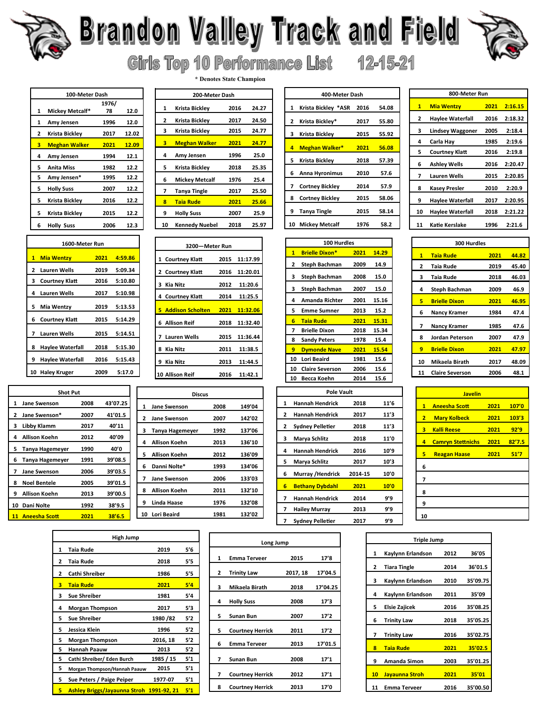

### **Standon Valley Track and Field** Girls Top 10 Performance List 12-15-21



| 100-Meter Dash |                      |       |       |
|----------------|----------------------|-------|-------|
|                |                      | 1976/ |       |
| 1              | Mickey Metcalf*      | 78    | 12.0  |
| 1              | Amy Jensen           | 1996  | 12.0  |
| 2              | Krista Bickley       | 2017  | 12.02 |
| з              | <b>Meghan Walker</b> | 2021  | 12.09 |
| 4              | Amy Jensen           | 1994  | 12.1  |
| 5              | <b>Anita Miss</b>    | 1982  | 12.2  |
| 5              | Amy Jensen*          | 1995  | 12.2  |
| 5              | <b>Holly Suss</b>    | 2007  | 12.2  |
| 5              | Krista Bickley       | 2016  | 12.2  |
| 5              | Krista Bicklev       | 2015  | 12.2  |
| 6              | <b>Holly Suss</b>    | 2006  | 12.3  |

|       | 1600-Meter Run        |      |         |  |  |  |
|-------|-----------------------|------|---------|--|--|--|
| $1 -$ | <b>Mia Wentzy</b>     | 2021 | 4:59.86 |  |  |  |
| 2     | <b>Lauren Wells</b>   | 2019 | 5:09.34 |  |  |  |
| з     | <b>Courtney Klatt</b> | 2016 | 5:10.80 |  |  |  |
| 4     | <b>Lauren Wells</b>   | 2017 | 5:10.98 |  |  |  |
| 5.    | Mia Wentzy            | 2019 | 5:13.53 |  |  |  |
| 6     | <b>Courtney Klatt</b> | 2015 | 5:14.29 |  |  |  |
| 7     | Lauren Wells          | 2015 | 5:14.51 |  |  |  |
| 8     | Haylee Waterfall      | 2018 | 5:15.30 |  |  |  |
| 9     | Haylee Waterfall      | 2016 | 5:15.43 |  |  |  |
| 10    | <b>Haley Kruger</b>   | 2009 | 5:17.0  |  |  |  |

|    | <b>Shot Put</b>        |      |          |    |                  |
|----|------------------------|------|----------|----|------------------|
| 1  | Jane Swenson           | 2008 | 43'07.25 | 1  | Jane Swe         |
| 2  | Jane Swenson*          | 2007 | 41'01.5  | 2  | Jane Swe         |
| з  | Libby Klamm            | 2017 | 40'11    | з  | Tanya Ha         |
| 4  | <b>Allison Koehn</b>   | 2012 | 40'09    | 4  | <b>Allison K</b> |
| 5. | Tanya Hagemeyer        | 1990 | 40'0     |    |                  |
| 6  | <b>Tanya Hagemeyer</b> | 1991 | 39'08.5  | 5  | <b>Allison K</b> |
| 7  | Jane Swenson           | 2006 | 39'03.5  | 6  | Danni No         |
| 8  | <b>Noel Bentele</b>    | 2005 | 39'01.5  | 7  | Jane Swe         |
| 9  | <b>Allison Koehn</b>   | 2013 | 39'00.5  | 8  | <b>Allison K</b> |
| 10 | Dani Nolte             | 1992 | 38'9.5   | 9  | Linda IIa        |
| 11 | <b>Aneesha Scott</b>   | 2021 | 38'6.5   | 10 | <b>Lori Beai</b> |
|    |                        |      |          |    |                  |

| <b>High Jump</b> |                                          |           |     |  |  |
|------------------|------------------------------------------|-----------|-----|--|--|
| 1                | Taia Rude                                | 2019      | 5'6 |  |  |
| 2                | Taia Rude                                | 2018      | 5'5 |  |  |
| 2                | <b>Cathi Shreiber</b>                    | 1986      | 5'5 |  |  |
| з                | <b>Taia Rude</b>                         | 2021      | 5'4 |  |  |
| з                | <b>Sue Shreiber</b>                      | 1981      | 5′4 |  |  |
| 4                | <b>Morgan Thompson</b>                   | 2017      | 5'3 |  |  |
| 5                | <b>Sue Shreiber</b>                      | 1980 / 82 | 5'2 |  |  |
| 5                | Jessica Klein                            | 1996      | 5'2 |  |  |
| 5                | <b>Morgan Thompson</b>                   | 2016, 18  | 5'2 |  |  |
| 5                | <b>Hannah Paauw</b>                      | 2013      | 5'2 |  |  |
| 5                | Cathi Shreiber/ Eden Burch               | 1985 / 15 | 5′1 |  |  |
| 5                | Morgan Thompson/Hannah Paauw             | 2015      | 5′1 |  |  |
| 5                | Sue Peters / Paige Peiper                | 1977-07   | 5′1 |  |  |
| 5                | Ashley Briggs/Jayaunna Stroh 1991-92, 21 |           | 5'1 |  |  |

|    | 200-Meter Dash       |      |       |  |  |
|----|----------------------|------|-------|--|--|
| 1  | Krista Bickley       | 2016 | 24.27 |  |  |
| 2  | Krista Bickley       | 2017 | 24.50 |  |  |
| 3  | Krista Bickley       | 2015 | 24.77 |  |  |
| з  | <b>Meghan Walker</b> | 2021 | 24.77 |  |  |
| 4  | Amy Jensen           | 1996 | 25.0  |  |  |
| 5. | Krista Bickley       | 2018 | 25.35 |  |  |
| 6  | Mickey Metcalf       | 1976 | 25.4  |  |  |
| 7  | <b>Tanya Tingle</b>  | 2017 | 25.50 |  |  |
| R  | <b>Taia Rude</b>     | 2021 | 25.66 |  |  |
| 9  | <b>Holly Suss</b>    | 2007 | 25.9  |  |  |
| 10 | Kennedy Nuebel       | 2018 | 25.97 |  |  |
|    |                      |      |       |  |  |

\* Denotes State Champion

| 3200-Meter Run |                                  |  |               |  |  |  |
|----------------|----------------------------------|--|---------------|--|--|--|
|                | 1 Courtney Klatt                 |  | 2015 11:17.99 |  |  |  |
|                | 2 Courtney Klatt                 |  | 2016 11:20.01 |  |  |  |
|                | 3 Kia Nitz                       |  | 2012 11:20.6  |  |  |  |
|                | 4 Courtney Klatt                 |  | 2014 11:25.5  |  |  |  |
|                | 5 Addison Scholten 2021 11:32.06 |  |               |  |  |  |
|                | 6 Allison Reif                   |  | 2018 11:32.40 |  |  |  |
|                | 7 Lauren Wells                   |  | 2015 11:36.44 |  |  |  |
|                | 8 Kia Nitz                       |  | 2011 11:38.5  |  |  |  |
|                | 9 Kia Nitz                       |  | 2013 11:44.5  |  |  |  |
|                | 10 Allison Reif                  |  | 2016 11:42.1  |  |  |  |
|                |                                  |  |               |  |  |  |

|                | <b>Discus</b>               |      |        |
|----------------|-----------------------------|------|--------|
| 07.25          | 1<br><b>Jane Swenson</b>    | 2008 | 149'04 |
| '01.5          | 2<br><b>Jane Swenson</b>    | 2007 | 142'02 |
| Y 11           | з<br><b>Tanya Hagemeyer</b> | 1992 | 137'06 |
| 09'0           | <b>Allison Koehn</b><br>4   | 2013 | 136'10 |
| 0'0            | Allison Koehn<br>5          | 2012 | 136'09 |
| '08.5          | Danni Nolte*<br>6           | 1993 | 134'06 |
| '03.5<br>'01.5 | <b>Jane Swenson</b><br>7    | 2006 | 133'03 |
| '00.5          | <b>Allison Koehn</b><br>8   | 2011 | 132'10 |
| 3'9.5          | <b>Linda Haase</b><br>9     | 1976 | 132'08 |
| 8'6.5          | 10 Lori Beaird              | 1981 | 132'02 |

|              | Long Jump               |          |          |  |  |  |
|--------------|-------------------------|----------|----------|--|--|--|
| $\mathbf{1}$ | <b>Emma Terveer</b>     | 2015     | 17'8     |  |  |  |
|              |                         |          |          |  |  |  |
| 2            | <b>Trinity Law</b>      | 2017, 18 | 17'04.5  |  |  |  |
| 3            | Mikaela Birath          | 2018     | 17'04.25 |  |  |  |
| 4            | <b>Holly Suss</b>       | 2008     | 17'3     |  |  |  |
| 5.           | <b>Sunan Bun</b>        | 2007     | 17'2     |  |  |  |
| 5            | <b>Courtney Herrick</b> | 2011     | 17'2     |  |  |  |
| 6            | <b>Emma Terveer</b>     | 2013     | 17'01.5  |  |  |  |
| 7            | <b>Sunan Bun</b>        | 2008     | 17'1     |  |  |  |
| 7            | <b>Courtney Herrick</b> | 2012     | 17'1     |  |  |  |
| 8            | <b>Courtney Herrick</b> | 2013     | 17'0     |  |  |  |

 $\overline{z}$ 

|              | 400-Meter Dash         |      |       |  |  |  |
|--------------|------------------------|------|-------|--|--|--|
| $\mathbf{1}$ | Krista Bickley *ASR    | 2016 | 54.08 |  |  |  |
| 2            | Krista Bicklev*        | 2017 | 55.80 |  |  |  |
| 3            | Krista Bickley         | 2015 | 55.92 |  |  |  |
| 4            | <b>Meghan Walker*</b>  | 2021 | 56.08 |  |  |  |
| 5.           | Krista Bickley         | 2018 | 57.39 |  |  |  |
| 6.           | Anna Hyronimus         | 2010 | 57.6  |  |  |  |
| 7            | <b>Cortney Bickley</b> | 2014 | 57.9  |  |  |  |
| 8            | <b>Cortney Bickley</b> | 2015 | 58.06 |  |  |  |
| 9            | Tanya Tingle           | 2015 | 58.14 |  |  |  |
| 10           | Mickey Metcalf         | 1976 | 58.2  |  |  |  |
|              |                        |      |       |  |  |  |

|    | 800-Meter Run           |      |         |  |  |  |
|----|-------------------------|------|---------|--|--|--|
| 1  | <b>Mia Wentzy</b>       | 2021 | 2:16.15 |  |  |  |
| 2  | <b>Haylee Waterfall</b> | 2016 | 2:18.32 |  |  |  |
| 3  | <b>Lindsey Waggoner</b> | 2005 | 2:18.4  |  |  |  |
| 4  | Carla Hay               | 1985 | 2:19.6  |  |  |  |
| 5  | Courtney Klatt          | 2016 | 2:19.8  |  |  |  |
| 6  | Ashley Wells            | 2016 | 2:20.47 |  |  |  |
| 7  | <b>Lauren Wells</b>     | 2015 | 2:20.85 |  |  |  |
| 8  | <b>Kasey Presler</b>    | 2010 | 2:20.9  |  |  |  |
| 9  | <b>Haylee Waterfall</b> | 2017 | 2:20.95 |  |  |  |
| 10 | <b>Haylee Waterfall</b> | 2018 | 2:21.22 |  |  |  |
| 11 | Katie Kerslake          | 1996 | 2:21.6  |  |  |  |

| 100 Hurdles            |      |       |
|------------------------|------|-------|
| <b>Brielle Dixon*</b>  | 2021 | 14.29 |
| Steph Bachman          | 2009 | 14.9  |
| Steph Bachman          | 2008 | 15.0  |
| <b>Steph Bachman</b>   | 2007 | 15.0  |
| Amanda Richter         | 2001 | 15.16 |
| <b>Emme Sumner</b>     | 2013 | 15.2  |
| <b>Taia Rude</b>       | 2021 | 15.31 |
| <b>Brielle Dixon</b>   | 2018 | 15.34 |
| <b>Sandy Peters</b>    | 1978 | 15.4  |
| <b>Dymonde Nave</b>    | 2021 | 15.54 |
| <b>Lori Beaird</b>     | 1981 | 15.6  |
| <b>Claire Severson</b> | 2006 | 15.6  |
| Becca Koehn            | 2014 | 15.6  |
|                        |      |       |

|   | $\overline{\mathbf{1}}$ | <b>Brielle Dixon*</b>   |         | 14.29 | j                       |
|---|-------------------------|-------------------------|---------|-------|-------------------------|
|   | 2                       | <b>Steph Bachman</b>    | 2009    | 14.9  | ź                       |
|   | 3                       | <b>Steph Bachman</b>    | 2008    | 15.0  | ă                       |
|   | 3                       | <b>Steph Bachman</b>    | 2007    | 15.0  | $\overline{\mathbf{r}}$ |
|   | 4                       | <b>Amanda Richter</b>   | 2001    | 15.16 | ŗ                       |
|   | 5                       | <b>Emme Sumner</b>      | 2013    | 15.2  | ť                       |
|   | 6                       | <b>Taia Rude</b>        | 2021    | 15.31 |                         |
|   | 7                       | <b>Brielle Dixon</b>    | 2018    | 15.34 | ī                       |
|   | 8                       | <b>Sandy Peters</b>     | 1978    | 15.4  | Ś                       |
|   | 9                       | <b>Dymonde Nave</b>     | 2021    | 15.54 | ¢                       |
|   | 10                      | <b>Lori Beaird</b>      | 1981    | 15.6  | $\mathbf{1}$            |
|   | 10                      | <b>Claire Severson</b>  | 2006    | 15.6  | $\mathbf{1}$            |
|   | 10                      | Becca Koehn             | 2014    | 15.6  |                         |
|   |                         | <b>Pole Vault</b>       |         |       |                         |
| 1 |                         | <b>Hannah Hendrick</b>  | 2018    | 11'6  |                         |
| 2 |                         | Hannah Hendrick         | 2017    | 11'3  |                         |
| 2 |                         | <b>Sydney Pelletier</b> | 2018    | 11'3  |                         |
| 3 |                         | Marya Schlitz           | 2018    | 11'0  |                         |
| 4 |                         | <b>Hannah Hendrick</b>  | 2016    | 10'9  |                         |
| 5 |                         | Marya Schlitz           | 2017    | 10'3  |                         |
| 6 |                         | Murray /Hendrick        | 2014-15 | 10'0  |                         |
| 6 |                         | <b>Bethany Dybdahl</b>  | 2021    | 10'0  |                         |
| 7 |                         | <b>Hannah Hendrick</b>  | 2014    | 9'9   |                         |
| 7 |                         | <b>Hailey Murray</b>    | 2013    | 9'9   |                         |
|   | 7                       | Sydney Pelletier        | 2017    | q'q   |                         |

| 300 Hurdles  |                        |      |       |  |  |
|--------------|------------------------|------|-------|--|--|
| $\mathbf{1}$ | <b>Taia Rude</b>       | 2021 | 44.82 |  |  |
| 2            | Taia Rude              | 2019 | 45.40 |  |  |
| з            | Taia Rude              | 2018 | 46.03 |  |  |
| 4            | <b>Steph Bachman</b>   | 2009 | 46.9  |  |  |
| 5            | <b>Brielle Dixon</b>   | 2021 | 46.95 |  |  |
| 6            | Nancy Kramer           | 1984 | 47.4  |  |  |
| 7            | <b>Nancy Kramer</b>    | 1985 | 47.6  |  |  |
| 8            | Jordan Peterson        | 2007 | 47.9  |  |  |
| 9            | <b>Brielle Dixon</b>   | 2021 | 47.97 |  |  |
| 10           | Mikaela Birath         | 2017 | 48.09 |  |  |
| 11           | <b>Claire Severson</b> | 2006 | 48.1  |  |  |

|                | <b>Javelin</b>                |      |        |
|----------------|-------------------------------|------|--------|
| $\mathbf{1}$   | <b>Aneesha Scott</b>          | 2021 | 107'0  |
| $\overline{2}$ | <b>Mary Kolbeck</b>           | 2021 | 103'3  |
| 3              | <b>Kalli Reese</b>            | 2021 | 92'9   |
| 4              | <b>Camryn Stettnichs</b> 2021 |      | 82'7.5 |
| 5              | <b>Reagan Haase</b>           | 2021 | 51'7   |
| 6              |                               |      |        |
| 7              |                               |      |        |
| 8              |                               |      |        |
| 9              |                               |      |        |
| 10             |                               |      |        |

|                 | <b>Triple Jump</b>  |      |          |  |  |  |
|-----------------|---------------------|------|----------|--|--|--|
| 1               | Kaylynn Erlandson   | 2012 | 36'05    |  |  |  |
| $\overline{2}$  | <b>Tiara Tingle</b> | 2014 | 36'01.5  |  |  |  |
| 3               | Kaylynn Erlandson   | 2010 | 35'09.75 |  |  |  |
| 4               | Kaylynn Erlandson   | 2011 | 35'09    |  |  |  |
| 5               | Elsie Zajicek       | 2016 | 35'08.25 |  |  |  |
| 6               | <b>Trinity Law</b>  | 2018 | 35'05.25 |  |  |  |
| 7               | <b>Trinity Law</b>  | 2016 | 35'02.75 |  |  |  |
| R               | <b>Taia Rude</b>    | 2021 | 35'02.5  |  |  |  |
| 9               | Amanda Simon        | 2003 | 35'01.25 |  |  |  |
| 10 <sub>1</sub> | Jayaunna Stroh      | 2021 | 35'01    |  |  |  |
| 11              | <b>Emma Terveer</b> | 2016 | 35'00.50 |  |  |  |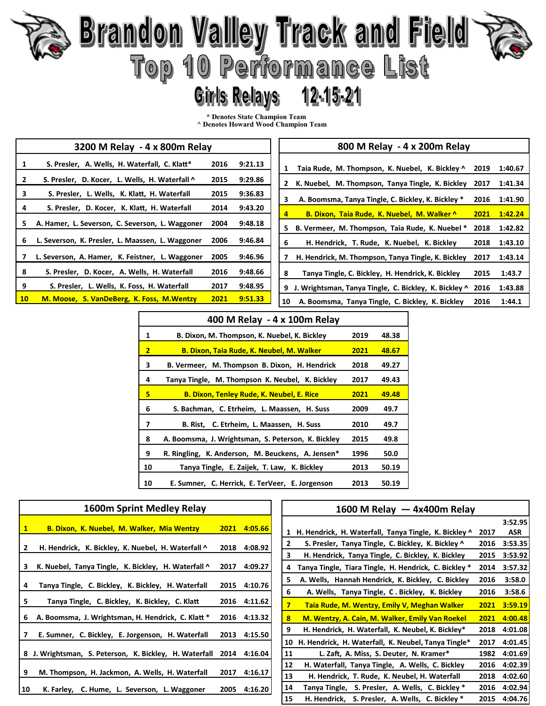# **Brandon Valley Track and Field<br>Top 10 Performance List** 12-15-21

### **Girls Relays**

**\* Denotes State Champion Team** 

**^ Denotes Howard Wood Champion Team** 

|                 | 3200 M Relay - 4 x 800m Relay                    |      |         | 800 M Relay - 4 x 200m Relay                                               |
|-----------------|--------------------------------------------------|------|---------|----------------------------------------------------------------------------|
|                 | S. Presler, A. Wells, H. Waterfall, C. Klatt*    | 2016 | 9:21.13 | Taia Rude, M. Thompson, K. Nuebel, K. Bickley ^<br>1:40.67<br>2019<br>1    |
|                 | S. Presler, D. Kocer, L. Wells, H. Waterfall ^   | 2015 | 9:29.86 | K. Nuebel, M. Thompson, Tanya Tingle, K. Bickley<br>1:41.34<br>2017<br>2   |
| з               | S. Presler, L. Wells, K. Klatt, H. Waterfall     | 2015 | 9:36.83 | A. Boomsma, Tanya Tingle, C. Bickley, K. Bickley *<br>2016<br>1:41.90<br>3 |
| 4               | S. Presler, D. Kocer, K. Klatt, H. Waterfall     | 2014 | 9:43.20 | B. Dixon, Taia Rude, K. Nuebel, M. Walker ^<br>2021<br>1:42.24<br>4        |
|                 | A. Hamer, L. Severson, C. Severson, L. Waggoner  | 2004 | 9:48.18 | B. Vermeer, M. Thompson, Taia Rude, K. Nuebel *<br>2018<br>1:42.82<br>5.   |
| 6               | L. Severson, K. Presler, L. Maassen, L. Waggoner | 2006 | 9:46.84 | 6<br>H. Hendrick, T. Rude, K. Nuebel, K. Bickley<br>2018<br>1:43.10        |
|                 | L. Severson, A. Hamer, K. Feistner, L. Waggoner  | 2005 | 9:46.96 | 1:43.14<br>H. Hendrick, M. Thompson, Tanya Tingle, K. Bickley<br>2017      |
| 8               | S. Presler, D. Kocer, A. Wells, H. Waterfall     | 2016 | 9:48.66 | 8<br>Tanya Tingle, C. Bickley, H. Hendrick, K. Bickley<br>2015<br>1:43.7   |
| 9               | S. Presler, L. Wells, K. Foss, H. Waterfall      | 2017 | 9:48.95 | J. Wrightsman, Tanya Tingle, C. Bickley, K. Bickley ^ 2016<br>1:43.88<br>9 |
| 10 <sup>°</sup> | M. Moose, S. VanDeBerg, K. Foss, M. Wentzy       | 2021 | 9:51.33 | A. Boomsma, Tanya Tingle, C. Bickley, K. Bickley<br>2016<br>1:44.1<br>10   |

|                | 400 M Relay - 4 x 100m Relay                       |      |       |  |  |
|----------------|----------------------------------------------------|------|-------|--|--|
| 1              | B. Dixon, M. Thompson, K. Nuebel, K. Bickley       | 2019 | 48.38 |  |  |
| $\overline{2}$ | <b>B. Dixon. Taja Rude. K. Neubel. M. Walker</b>   | 2021 | 48.67 |  |  |
| 3              | B. Vermeer, M. Thompson B. Dixon, H. Hendrick      | 2018 | 49.27 |  |  |
| 4              | Tanya Tingle, M. Thompson K. Neubel, K. Bickley    | 2017 | 49.43 |  |  |
| 5              | <b>B. Dixon, Tenley Rude, K. Neubel, E. Rice</b>   | 2021 | 49.48 |  |  |
| 6              | S. Bachman, C. Etrheim, L. Maassen, H. Suss        | 2009 | 49.7  |  |  |
| 7              | B. Rist, C. Etrheim, L. Maassen, H. Suss           | 2010 | 49.7  |  |  |
| 8              | A. Boomsma, J. Wrightsman, S. Peterson, K. Bickley | 2015 | 49.8  |  |  |
| 9              | R. Ringling, K. Anderson, M. Beuckens, A. Jensen*  | 1996 | 50.0  |  |  |
| 10             | Tanya Tingle, E. Zaijek, T. Law, K. Bickley        | 2013 | 50.19 |  |  |
| 10             | E. Sumner, C. Herrick, E. TerVeer, E. Jorgenson    | 2013 | 50.19 |  |  |

|              | 1600m Sprint Medley Relay                              |      |              |  |  |  |
|--------------|--------------------------------------------------------|------|--------------|--|--|--|
| $\mathbf{1}$ | B. Dixon, K. Nuebel, M. Walker, Mia Wentzy             | 2021 | 4:05.66      |  |  |  |
| $\mathbf{2}$ | H. Hendrick, K. Bickley, K. Nuebel, H. Waterfall ^     | 2018 | 4:08.92      |  |  |  |
| 3            | K. Nuebel, Tanya Tingle, K. Bickley, H. Waterfall ^    | 2017 | 4:09.27      |  |  |  |
| 4            | Tanya Tingle, C. Bickley, K. Bickley, H. Waterfall     |      | 2015 4:10.76 |  |  |  |
| 5            | Tanya Tingle, C. Bickley, K. Bickley, C. Klatt         | 2016 | 4:11.62      |  |  |  |
| 6            | A. Boomsma, J. Wrightsman, H. Hendrick, C. Klatt *     |      | 2016 4:13.32 |  |  |  |
| 7            | E. Sumner, C. Bickley, E. Jorgenson, H. Waterfall      | 2013 | 4:15.50      |  |  |  |
|              | 8 J. Wrightsman, S. Peterson, K. Bickley, H. Waterfall | 2014 | 4:16.04      |  |  |  |
| 9            | M. Thompson, H. Jackmon, A. Wells, H. Waterfall        | 2017 | 4:16.17      |  |  |  |
| 10           | K. Farley, C. Hume, L. Severson, L. Waggoner           | 2005 | 4:16.20      |  |  |  |

|                | 1600 M Relay $-4x400$ m Relay                         |      |         |
|----------------|-------------------------------------------------------|------|---------|
|                |                                                       |      | 3:52.95 |
| 1              | H. Hendrick, H. Waterfall, Tanya Tingle, K. Bickley ^ | 2017 | ASR     |
| $\overline{2}$ | S. Presler, Tanya Tingle, C. Bickley, K. Bickley ^    | 2016 | 3:53.35 |
| 3              | H. Hendrick, Tanya Tingle, C. Bickley, K. Bickley     | 2015 | 3:53.92 |
| 4              | Tanya Tingle, Tiara Tingle, H. Hendrick, C. Bickley * | 2014 | 3:57.32 |
| 5              | A. Wells, Hannah Hendrick, K. Bickley, C. Bickley     | 2016 | 3:58.0  |
| 6              | A. Wells, Tanya Tingle, C. Bickley, K. Bickley        | 2016 | 3:58.6  |
| $\overline{7}$ | Taia Rude, M. Wentzy, Emily V, Meghan Walker          | 2021 | 3:59.19 |
| 8              | M. Wentzy, A. Cain, M. Walker, Emily Van Roekel       | 2021 | 4:00.48 |
| 9              | H. Hendrick, H. Waterfall, K. Neubel, K. Bickley*     | 2018 | 4:01.08 |
| 10             | H. Hendrick, H. Waterfall, K. Neubel, Tanya Tingle*   | 2017 | 4:01.45 |
| 11             | L. Zaft, A. Miss, S. Deuter, N. Kramer*               | 1982 | 4:01.69 |
| 12             | H. Waterfall, Tanya Tingle, A. Wells, C. Bickley      | 2016 | 4:02.39 |
| 13             | H. Hendrick, T. Rude, K. Neubel, H. Waterfall         | 2018 | 4:02.60 |
| 14             | Tanya Tingle, S. Presler, A. Wells, C. Bickley *      | 2016 | 4:02.94 |
| 15             | H. Hendrick, S. Presler, A. Wells, C. Bickley *       | 2015 | 4:04.76 |